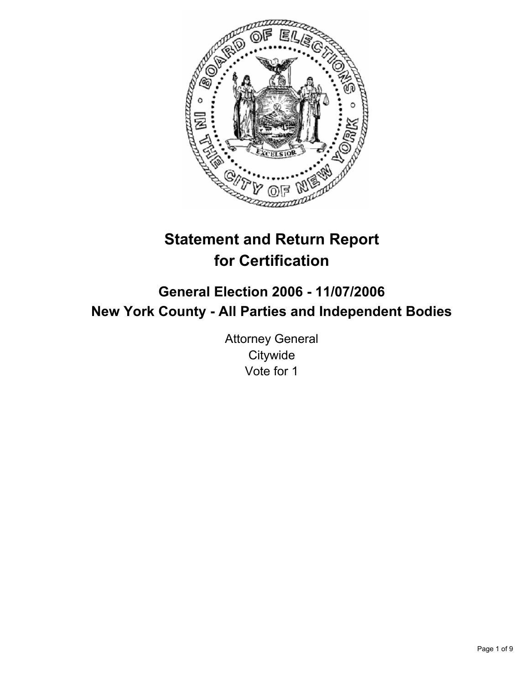

# **Statement and Return Report for Certification**

# **General Election 2006 - 11/07/2006 New York County - All Parties and Independent Bodies**

Attorney General **Citywide** Vote for 1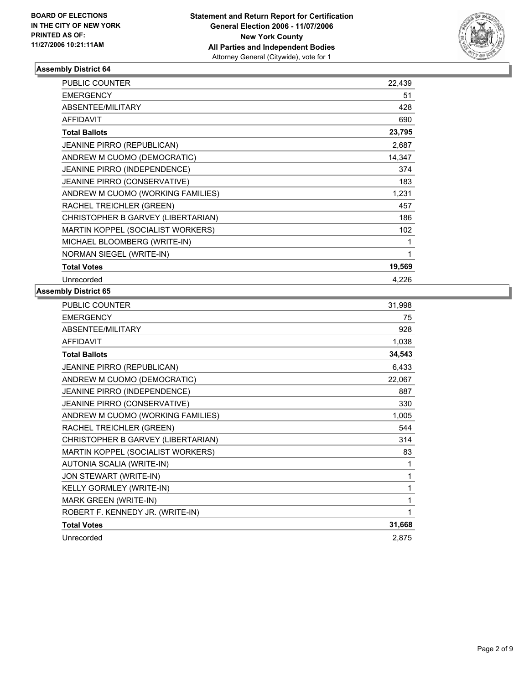

| PUBLIC COUNTER                      | 22,439 |
|-------------------------------------|--------|
| <b>EMERGENCY</b>                    | 51     |
| ABSENTEE/MILITARY                   | 428    |
| <b>AFFIDAVIT</b>                    | 690    |
| <b>Total Ballots</b>                | 23,795 |
| <b>JEANINE PIRRO (REPUBLICAN)</b>   | 2,687  |
| ANDREW M CUOMO (DEMOCRATIC)         | 14,347 |
| JEANINE PIRRO (INDEPENDENCE)        | 374    |
| <b>JEANINE PIRRO (CONSERVATIVE)</b> | 183    |
| ANDREW M CUOMO (WORKING FAMILIES)   | 1,231  |
| RACHEL TREICHLER (GREEN)            | 457    |
| CHRISTOPHER B GARVEY (LIBERTARIAN)  | 186    |
| MARTIN KOPPEL (SOCIALIST WORKERS)   | 102    |
| MICHAEL BLOOMBERG (WRITE-IN)        |        |
| NORMAN SIEGEL (WRITE-IN)            |        |
| <b>Total Votes</b>                  | 19,569 |
| Unrecorded                          | 4.226  |

| PUBLIC COUNTER                     | 31,998 |
|------------------------------------|--------|
| <b>EMERGENCY</b>                   | 75     |
| ABSENTEE/MILITARY                  | 928    |
| <b>AFFIDAVIT</b>                   | 1,038  |
| <b>Total Ballots</b>               | 34,543 |
| JEANINE PIRRO (REPUBLICAN)         | 6,433  |
| ANDREW M CUOMO (DEMOCRATIC)        | 22,067 |
| JEANINE PIRRO (INDEPENDENCE)       | 887    |
| JEANINE PIRRO (CONSERVATIVE)       | 330    |
| ANDREW M CUOMO (WORKING FAMILIES)  | 1,005  |
| RACHEL TREICHLER (GREEN)           | 544    |
| CHRISTOPHER B GARVEY (LIBERTARIAN) | 314    |
| MARTIN KOPPEL (SOCIALIST WORKERS)  | 83     |
| AUTONIA SCALIA (WRITE-IN)          |        |
| JON STEWART (WRITE-IN)             |        |
| KELLY GORMLEY (WRITE-IN)           | 1      |
| MARK GREEN (WRITE-IN)              |        |
| ROBERT F. KENNEDY JR. (WRITE-IN)   |        |
| <b>Total Votes</b>                 | 31,668 |
| Unrecorded                         | 2,875  |
|                                    |        |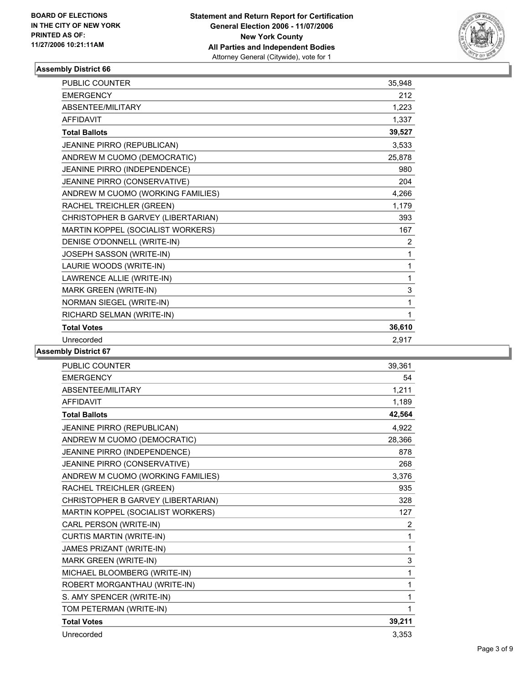

| PUBLIC COUNTER                     | 35,948         |
|------------------------------------|----------------|
| <b>EMERGENCY</b>                   | 212            |
| ABSENTEE/MILITARY                  | 1,223          |
| <b>AFFIDAVIT</b>                   | 1,337          |
| <b>Total Ballots</b>               | 39,527         |
| JEANINE PIRRO (REPUBLICAN)         | 3,533          |
| ANDREW M CUOMO (DEMOCRATIC)        | 25,878         |
| JEANINE PIRRO (INDEPENDENCE)       | 980            |
| JEANINE PIRRO (CONSERVATIVE)       | 204            |
| ANDREW M CUOMO (WORKING FAMILIES)  | 4,266          |
| RACHEL TREICHLER (GREEN)           | 1,179          |
| CHRISTOPHER B GARVEY (LIBERTARIAN) | 393            |
| MARTIN KOPPEL (SOCIALIST WORKERS)  | 167            |
| DENISE O'DONNELL (WRITE-IN)        | $\overline{2}$ |
| JOSEPH SASSON (WRITE-IN)           | 1              |
| LAURIE WOODS (WRITE-IN)            | 1              |
| LAWRENCE ALLIE (WRITE-IN)          | 1              |
| MARK GREEN (WRITE-IN)              | 3              |
| NORMAN SIEGEL (WRITE-IN)           | 1              |
| RICHARD SELMAN (WRITE-IN)          |                |
| <b>Total Votes</b>                 | 36,610         |
| Unrecorded                         | 2.917          |

| <b>PUBLIC COUNTER</b>              | 39,361         |
|------------------------------------|----------------|
| <b>EMERGENCY</b>                   | 54             |
| <b>ABSENTEE/MILITARY</b>           | 1.211          |
| <b>AFFIDAVIT</b>                   | 1.189          |
| <b>Total Ballots</b>               | 42,564         |
| JEANINE PIRRO (REPUBLICAN)         | 4,922          |
| ANDREW M CUOMO (DEMOCRATIC)        | 28,366         |
| JEANINE PIRRO (INDEPENDENCE)       | 878            |
| JEANINE PIRRO (CONSERVATIVE)       | 268            |
| ANDREW M CUOMO (WORKING FAMILIES)  | 3,376          |
| RACHEL TREICHLER (GREEN)           | 935            |
| CHRISTOPHER B GARVEY (LIBERTARIAN) | 328            |
| MARTIN KOPPEL (SOCIALIST WORKERS)  | 127            |
| CARL PERSON (WRITE-IN)             | $\overline{2}$ |
| <b>CURTIS MARTIN (WRITE-IN)</b>    | 1              |
| JAMES PRIZANT (WRITE-IN)           | 1              |
| MARK GREEN (WRITE-IN)              | $\mathsf 3$    |
| MICHAEL BLOOMBERG (WRITE-IN)       | 1              |
| ROBERT MORGANTHAU (WRITE-IN)       | 1              |
| S. AMY SPENCER (WRITE-IN)          | 1              |
| TOM PETERMAN (WRITE-IN)            | 1              |
| <b>Total Votes</b>                 | 39,211         |
| Unrecorded                         | 3,353          |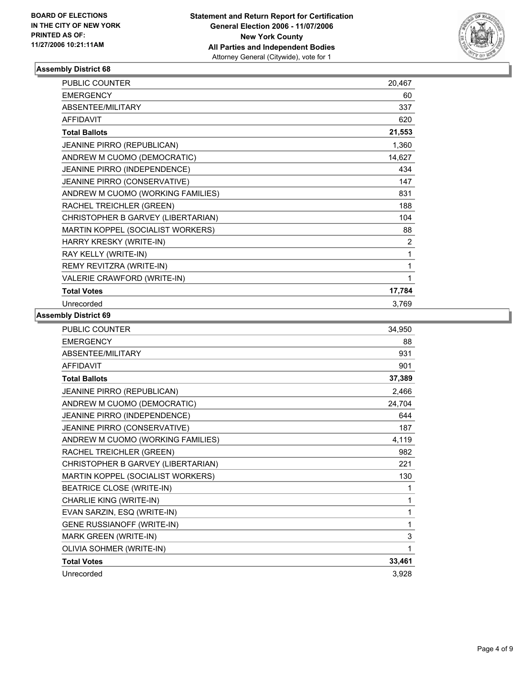

| <b>PUBLIC COUNTER</b>              | 20,467         |  |
|------------------------------------|----------------|--|
| <b>EMERGENCY</b>                   | 60             |  |
| ABSENTEE/MILITARY                  | 337            |  |
| <b>AFFIDAVIT</b>                   | 620            |  |
| <b>Total Ballots</b>               | 21,553         |  |
| <b>JEANINE PIRRO (REPUBLICAN)</b>  | 1,360          |  |
| ANDREW M CUOMO (DEMOCRATIC)        | 14,627         |  |
| JEANINE PIRRO (INDEPENDENCE)       | 434            |  |
| JEANINE PIRRO (CONSERVATIVE)       | 147            |  |
| ANDREW M CUOMO (WORKING FAMILIES)  | 831            |  |
| RACHEL TREICHLER (GREEN)           | 188            |  |
| CHRISTOPHER B GARVEY (LIBERTARIAN) | 104            |  |
| MARTIN KOPPEL (SOCIALIST WORKERS)  | 88             |  |
| HARRY KRESKY (WRITE-IN)            | $\overline{2}$ |  |
| RAY KELLY (WRITE-IN)               |                |  |
| REMY REVITZRA (WRITE-IN)           |                |  |
| VALERIE CRAWFORD (WRITE-IN)        |                |  |
| <b>Total Votes</b>                 | 17,784         |  |
| Unrecorded                         | 3,769          |  |

| PUBLIC COUNTER                     | 34,950 |
|------------------------------------|--------|
| <b>EMERGENCY</b>                   | 88     |
| ABSENTEE/MILITARY                  | 931    |
| <b>AFFIDAVIT</b>                   | 901    |
| <b>Total Ballots</b>               | 37,389 |
| JEANINE PIRRO (REPUBLICAN)         | 2,466  |
| ANDREW M CUOMO (DEMOCRATIC)        | 24,704 |
| JEANINE PIRRO (INDEPENDENCE)       | 644    |
| JEANINE PIRRO (CONSERVATIVE)       | 187    |
| ANDREW M CUOMO (WORKING FAMILIES)  | 4,119  |
| RACHEL TREICHLER (GREEN)           | 982    |
| CHRISTOPHER B GARVEY (LIBERTARIAN) | 221    |
| MARTIN KOPPEL (SOCIALIST WORKERS)  | 130    |
| <b>BEATRICE CLOSE (WRITE-IN)</b>   |        |
| CHARLIE KING (WRITE-IN)            |        |
| EVAN SARZIN, ESQ (WRITE-IN)        | 1      |
| <b>GENE RUSSIANOFF (WRITE-IN)</b>  | 1      |
| <b>MARK GREEN (WRITE-IN)</b>       | 3      |
| OLIVIA SOHMER (WRITE-IN)           | 1      |
| <b>Total Votes</b>                 | 33,461 |
| Unrecorded                         | 3,928  |
|                                    |        |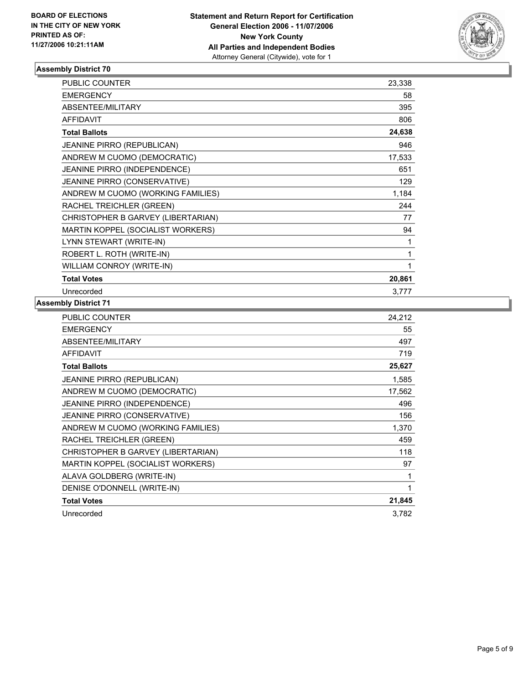

| <b>PUBLIC COUNTER</b>              | 23,338 |
|------------------------------------|--------|
| <b>EMERGENCY</b>                   | 58     |
| <b>ABSENTEE/MILITARY</b>           | 395    |
| <b>AFFIDAVIT</b>                   | 806    |
| <b>Total Ballots</b>               | 24,638 |
| <b>JEANINE PIRRO (REPUBLICAN)</b>  | 946    |
| ANDREW M CUOMO (DEMOCRATIC)        | 17,533 |
| JEANINE PIRRO (INDEPENDENCE)       | 651    |
| JEANINE PIRRO (CONSERVATIVE)       | 129    |
| ANDREW M CUOMO (WORKING FAMILIES)  | 1,184  |
| RACHEL TREICHLER (GREEN)           | 244    |
| CHRISTOPHER B GARVEY (LIBERTARIAN) | 77     |
| MARTIN KOPPEL (SOCIALIST WORKERS)  | 94     |
| LYNN STEWART (WRITE-IN)            |        |
| ROBERT L. ROTH (WRITE-IN)          |        |
| WILLIAM CONROY (WRITE-IN)          |        |
| <b>Total Votes</b>                 | 20,861 |
| Unrecorded                         | 3,777  |

| <b>PUBLIC COUNTER</b>              | 24,212 |
|------------------------------------|--------|
| <b>EMERGENCY</b>                   | 55     |
| ABSENTEE/MILITARY                  | 497    |
| <b>AFFIDAVIT</b>                   | 719    |
| <b>Total Ballots</b>               | 25,627 |
| <b>JEANINE PIRRO (REPUBLICAN)</b>  | 1,585  |
| ANDREW M CUOMO (DEMOCRATIC)        | 17,562 |
| JEANINE PIRRO (INDEPENDENCE)       | 496    |
| JEANINE PIRRO (CONSERVATIVE)       | 156    |
| ANDREW M CUOMO (WORKING FAMILIES)  | 1,370  |
| RACHEL TREICHLER (GREEN)           | 459    |
| CHRISTOPHER B GARVEY (LIBERTARIAN) | 118    |
| MARTIN KOPPEL (SOCIALIST WORKERS)  | 97     |
| ALAVA GOLDBERG (WRITE-IN)          | 1      |
| DENISE O'DONNELL (WRITE-IN)        |        |
| <b>Total Votes</b>                 | 21,845 |
| Unrecorded                         | 3,782  |
|                                    |        |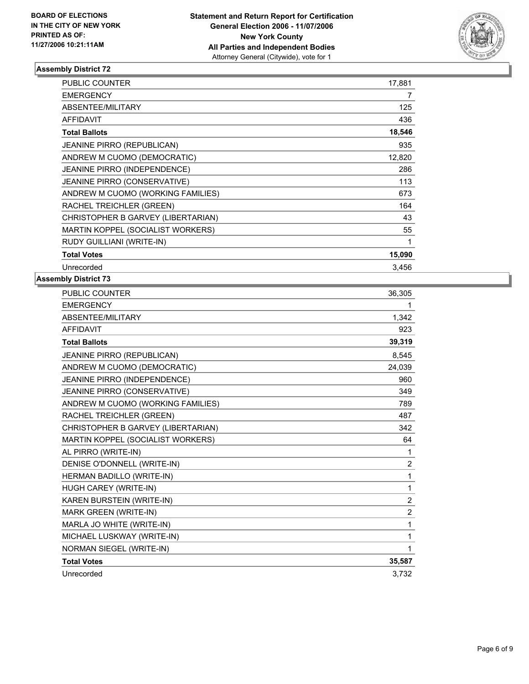

| PUBLIC COUNTER                      | 17,881 |
|-------------------------------------|--------|
| <b>EMERGENCY</b>                    | 7      |
| ABSENTEE/MILITARY                   | 125    |
| <b>AFFIDAVIT</b>                    | 436    |
| <b>Total Ballots</b>                | 18,546 |
| <b>JEANINE PIRRO (REPUBLICAN)</b>   | 935    |
| ANDREW M CUOMO (DEMOCRATIC)         | 12,820 |
| JEANINE PIRRO (INDEPENDENCE)        | 286    |
| <b>JEANINE PIRRO (CONSERVATIVE)</b> | 113    |
| ANDREW M CUOMO (WORKING FAMILIES)   | 673    |
| RACHEL TREICHLER (GREEN)            | 164    |
| CHRISTOPHER B GARVEY (LIBERTARIAN)  | 43     |
| MARTIN KOPPEL (SOCIALIST WORKERS)   | 55     |
| RUDY GUILLIANI (WRITE-IN)           |        |
| <b>Total Votes</b>                  | 15,090 |
| Unrecorded                          | 3,456  |

| PUBLIC COUNTER                     | 36,305         |
|------------------------------------|----------------|
| <b>EMERGENCY</b>                   |                |
| ABSENTEE/MILITARY                  | 1,342          |
| <b>AFFIDAVIT</b>                   | 923            |
| <b>Total Ballots</b>               | 39,319         |
| JEANINE PIRRO (REPUBLICAN)         | 8,545          |
| ANDREW M CUOMO (DEMOCRATIC)        | 24,039         |
| JEANINE PIRRO (INDEPENDENCE)       | 960            |
| JEANINE PIRRO (CONSERVATIVE)       | 349            |
| ANDREW M CUOMO (WORKING FAMILIES)  | 789            |
| RACHEL TREICHLER (GREEN)           | 487            |
| CHRISTOPHER B GARVEY (LIBERTARIAN) | 342            |
| MARTIN KOPPEL (SOCIALIST WORKERS)  | 64             |
| AL PIRRO (WRITE-IN)                | 1              |
| DENISE O'DONNELL (WRITE-IN)        | $\overline{2}$ |
| HERMAN BADILLO (WRITE-IN)          | 1              |
| HUGH CAREY (WRITE-IN)              | 1              |
| KAREN BURSTEIN (WRITE-IN)          | $\overline{2}$ |
| MARK GREEN (WRITE-IN)              | $\overline{2}$ |
| MARLA JO WHITE (WRITE-IN)          | 1              |
| MICHAEL LUSKWAY (WRITE-IN)         | 1              |
| NORMAN SIEGEL (WRITE-IN)           |                |
| <b>Total Votes</b>                 | 35,587         |
| Unrecorded                         | 3,732          |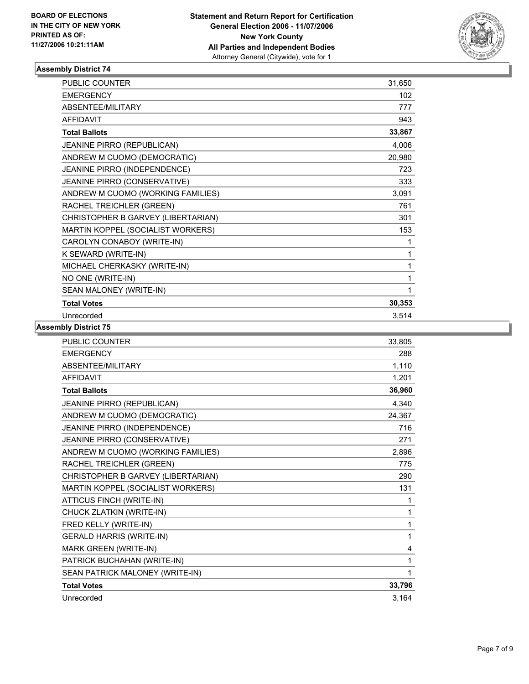

| <b>PUBLIC COUNTER</b>              | 31,650 |  |
|------------------------------------|--------|--|
| <b>EMERGENCY</b>                   | 102    |  |
| <b>ABSENTEE/MILITARY</b>           | 777    |  |
| <b>AFFIDAVIT</b>                   | 943    |  |
| <b>Total Ballots</b>               | 33,867 |  |
| JEANINE PIRRO (REPUBLICAN)         | 4,006  |  |
| ANDREW M CUOMO (DEMOCRATIC)        | 20,980 |  |
| JEANINE PIRRO (INDEPENDENCE)       | 723    |  |
| JEANINE PIRRO (CONSERVATIVE)       | 333    |  |
| ANDREW M CUOMO (WORKING FAMILIES)  | 3,091  |  |
| RACHEL TREICHLER (GREEN)           | 761    |  |
| CHRISTOPHER B GARVEY (LIBERTARIAN) | 301    |  |
| MARTIN KOPPEL (SOCIALIST WORKERS)  | 153    |  |
| CAROLYN CONABOY (WRITE-IN)         |        |  |
| K SEWARD (WRITE-IN)                |        |  |
| MICHAEL CHERKASKY (WRITE-IN)       |        |  |
| NO ONE (WRITE-IN)                  |        |  |
| SEAN MALONEY (WRITE-IN)            |        |  |
| <b>Total Votes</b>                 | 30,353 |  |
| Unrecorded                         | 3,514  |  |

| <b>PUBLIC COUNTER</b>              | 33,805 |
|------------------------------------|--------|
| <b>EMERGENCY</b>                   | 288    |
| ABSENTEE/MILITARY                  | 1,110  |
| <b>AFFIDAVIT</b>                   | 1,201  |
| <b>Total Ballots</b>               | 36,960 |
| JEANINE PIRRO (REPUBLICAN)         | 4,340  |
| ANDREW M CUOMO (DEMOCRATIC)        | 24,367 |
| JEANINE PIRRO (INDEPENDENCE)       | 716    |
| JEANINE PIRRO (CONSERVATIVE)       | 271    |
| ANDREW M CUOMO (WORKING FAMILIES)  | 2,896  |
| RACHEL TREICHLER (GREEN)           | 775    |
| CHRISTOPHER B GARVEY (LIBERTARIAN) | 290    |
| MARTIN KOPPEL (SOCIALIST WORKERS)  | 131    |
| ATTICUS FINCH (WRITE-IN)           | 1      |
| CHUCK ZLATKIN (WRITE-IN)           | 1      |
| FRED KELLY (WRITE-IN)              | 1      |
| <b>GERALD HARRIS (WRITE-IN)</b>    | 1      |
| MARK GREEN (WRITE-IN)              | 4      |
| PATRICK BUCHAHAN (WRITE-IN)        | 1      |
| SEAN PATRICK MALONEY (WRITE-IN)    |        |
| <b>Total Votes</b>                 | 33,796 |
| Unrecorded                         | 3,164  |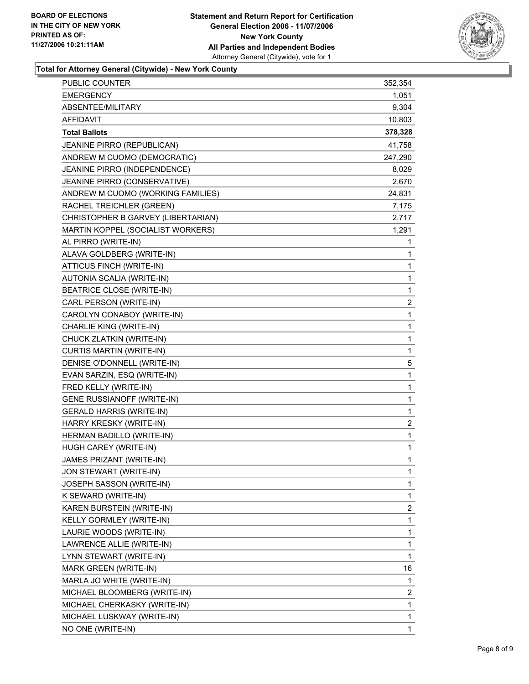

# **Total for Attorney General (Citywide) - New York County**

| <b>EMERGENCY</b><br>1,051<br>ABSENTEE/MILITARY<br>9,304<br><b>AFFIDAVIT</b><br>10,803<br>378,328<br><b>Total Ballots</b><br>JEANINE PIRRO (REPUBLICAN)<br>41,758<br>ANDREW M CUOMO (DEMOCRATIC)<br>247,290<br>JEANINE PIRRO (INDEPENDENCE)<br>8,029<br>JEANINE PIRRO (CONSERVATIVE)<br>2,670<br>ANDREW M CUOMO (WORKING FAMILIES)<br>24,831<br>RACHEL TREICHLER (GREEN)<br>7,175<br>CHRISTOPHER B GARVEY (LIBERTARIAN)<br>2,717<br>1,291<br>MARTIN KOPPEL (SOCIALIST WORKERS)<br>AL PIRRO (WRITE-IN)<br>$\mathbf 1$<br>ALAVA GOLDBERG (WRITE-IN)<br>1<br>ATTICUS FINCH (WRITE-IN)<br>1<br>$\mathbf{1}$<br>AUTONIA SCALIA (WRITE-IN)<br>$\mathbf{1}$<br><b>BEATRICE CLOSE (WRITE-IN)</b><br>$\overline{\mathbf{c}}$<br>CARL PERSON (WRITE-IN)<br>$\mathbf 1$<br>CAROLYN CONABOY (WRITE-IN)<br>1<br>CHARLIE KING (WRITE-IN)<br>1<br>CHUCK ZLATKIN (WRITE-IN)<br>$\mathbf{1}$<br>CURTIS MARTIN (WRITE-IN)<br>5<br>DENISE O'DONNELL (WRITE-IN)<br>1<br>EVAN SARZIN, ESQ (WRITE-IN)<br>1<br>FRED KELLY (WRITE-IN)<br>$\mathbf 1$<br><b>GENE RUSSIANOFF (WRITE-IN)</b><br>1<br><b>GERALD HARRIS (WRITE-IN)</b><br>$\overline{\mathbf{c}}$<br>HARRY KRESKY (WRITE-IN)<br>$\mathbf 1$<br>HERMAN BADILLO (WRITE-IN)<br>1<br>HUGH CAREY (WRITE-IN)<br>1<br>JAMES PRIZANT (WRITE-IN)<br>JON STEWART (WRITE-IN)<br>1<br>JOSEPH SASSON (WRITE-IN)<br>1<br>1<br>K SEWARD (WRITE-IN)<br>$\overline{\mathbf{c}}$<br>KAREN BURSTEIN (WRITE-IN)<br>KELLY GORMLEY (WRITE-IN)<br>1<br>1<br>LAURIE WOODS (WRITE-IN)<br>1<br>LAWRENCE ALLIE (WRITE-IN)<br>1<br>LYNN STEWART (WRITE-IN)<br>16<br>MARK GREEN (WRITE-IN)<br>1<br>MARLA JO WHITE (WRITE-IN)<br>$\overline{c}$<br>MICHAEL BLOOMBERG (WRITE-IN)<br>$\mathbf{1}$<br>MICHAEL CHERKASKY (WRITE-IN)<br>1<br>MICHAEL LUSKWAY (WRITE-IN)<br>NO ONE (WRITE-IN)<br>1 | <b>PUBLIC COUNTER</b> | 352,354 |
|--------------------------------------------------------------------------------------------------------------------------------------------------------------------------------------------------------------------------------------------------------------------------------------------------------------------------------------------------------------------------------------------------------------------------------------------------------------------------------------------------------------------------------------------------------------------------------------------------------------------------------------------------------------------------------------------------------------------------------------------------------------------------------------------------------------------------------------------------------------------------------------------------------------------------------------------------------------------------------------------------------------------------------------------------------------------------------------------------------------------------------------------------------------------------------------------------------------------------------------------------------------------------------------------------------------------------------------------------------------------------------------------------------------------------------------------------------------------------------------------------------------------------------------------------------------------------------------------------------------------------------------------------------------------------------------------------------------------------------------------------------------------------------------------------|-----------------------|---------|
|                                                                                                                                                                                                                                                                                                                                                                                                                                                                                                                                                                                                                                                                                                                                                                                                                                                                                                                                                                                                                                                                                                                                                                                                                                                                                                                                                                                                                                                                                                                                                                                                                                                                                                                                                                                                  |                       |         |
|                                                                                                                                                                                                                                                                                                                                                                                                                                                                                                                                                                                                                                                                                                                                                                                                                                                                                                                                                                                                                                                                                                                                                                                                                                                                                                                                                                                                                                                                                                                                                                                                                                                                                                                                                                                                  |                       |         |
|                                                                                                                                                                                                                                                                                                                                                                                                                                                                                                                                                                                                                                                                                                                                                                                                                                                                                                                                                                                                                                                                                                                                                                                                                                                                                                                                                                                                                                                                                                                                                                                                                                                                                                                                                                                                  |                       |         |
|                                                                                                                                                                                                                                                                                                                                                                                                                                                                                                                                                                                                                                                                                                                                                                                                                                                                                                                                                                                                                                                                                                                                                                                                                                                                                                                                                                                                                                                                                                                                                                                                                                                                                                                                                                                                  |                       |         |
|                                                                                                                                                                                                                                                                                                                                                                                                                                                                                                                                                                                                                                                                                                                                                                                                                                                                                                                                                                                                                                                                                                                                                                                                                                                                                                                                                                                                                                                                                                                                                                                                                                                                                                                                                                                                  |                       |         |
|                                                                                                                                                                                                                                                                                                                                                                                                                                                                                                                                                                                                                                                                                                                                                                                                                                                                                                                                                                                                                                                                                                                                                                                                                                                                                                                                                                                                                                                                                                                                                                                                                                                                                                                                                                                                  |                       |         |
|                                                                                                                                                                                                                                                                                                                                                                                                                                                                                                                                                                                                                                                                                                                                                                                                                                                                                                                                                                                                                                                                                                                                                                                                                                                                                                                                                                                                                                                                                                                                                                                                                                                                                                                                                                                                  |                       |         |
|                                                                                                                                                                                                                                                                                                                                                                                                                                                                                                                                                                                                                                                                                                                                                                                                                                                                                                                                                                                                                                                                                                                                                                                                                                                                                                                                                                                                                                                                                                                                                                                                                                                                                                                                                                                                  |                       |         |
|                                                                                                                                                                                                                                                                                                                                                                                                                                                                                                                                                                                                                                                                                                                                                                                                                                                                                                                                                                                                                                                                                                                                                                                                                                                                                                                                                                                                                                                                                                                                                                                                                                                                                                                                                                                                  |                       |         |
|                                                                                                                                                                                                                                                                                                                                                                                                                                                                                                                                                                                                                                                                                                                                                                                                                                                                                                                                                                                                                                                                                                                                                                                                                                                                                                                                                                                                                                                                                                                                                                                                                                                                                                                                                                                                  |                       |         |
|                                                                                                                                                                                                                                                                                                                                                                                                                                                                                                                                                                                                                                                                                                                                                                                                                                                                                                                                                                                                                                                                                                                                                                                                                                                                                                                                                                                                                                                                                                                                                                                                                                                                                                                                                                                                  |                       |         |
|                                                                                                                                                                                                                                                                                                                                                                                                                                                                                                                                                                                                                                                                                                                                                                                                                                                                                                                                                                                                                                                                                                                                                                                                                                                                                                                                                                                                                                                                                                                                                                                                                                                                                                                                                                                                  |                       |         |
|                                                                                                                                                                                                                                                                                                                                                                                                                                                                                                                                                                                                                                                                                                                                                                                                                                                                                                                                                                                                                                                                                                                                                                                                                                                                                                                                                                                                                                                                                                                                                                                                                                                                                                                                                                                                  |                       |         |
|                                                                                                                                                                                                                                                                                                                                                                                                                                                                                                                                                                                                                                                                                                                                                                                                                                                                                                                                                                                                                                                                                                                                                                                                                                                                                                                                                                                                                                                                                                                                                                                                                                                                                                                                                                                                  |                       |         |
|                                                                                                                                                                                                                                                                                                                                                                                                                                                                                                                                                                                                                                                                                                                                                                                                                                                                                                                                                                                                                                                                                                                                                                                                                                                                                                                                                                                                                                                                                                                                                                                                                                                                                                                                                                                                  |                       |         |
|                                                                                                                                                                                                                                                                                                                                                                                                                                                                                                                                                                                                                                                                                                                                                                                                                                                                                                                                                                                                                                                                                                                                                                                                                                                                                                                                                                                                                                                                                                                                                                                                                                                                                                                                                                                                  |                       |         |
|                                                                                                                                                                                                                                                                                                                                                                                                                                                                                                                                                                                                                                                                                                                                                                                                                                                                                                                                                                                                                                                                                                                                                                                                                                                                                                                                                                                                                                                                                                                                                                                                                                                                                                                                                                                                  |                       |         |
|                                                                                                                                                                                                                                                                                                                                                                                                                                                                                                                                                                                                                                                                                                                                                                                                                                                                                                                                                                                                                                                                                                                                                                                                                                                                                                                                                                                                                                                                                                                                                                                                                                                                                                                                                                                                  |                       |         |
|                                                                                                                                                                                                                                                                                                                                                                                                                                                                                                                                                                                                                                                                                                                                                                                                                                                                                                                                                                                                                                                                                                                                                                                                                                                                                                                                                                                                                                                                                                                                                                                                                                                                                                                                                                                                  |                       |         |
|                                                                                                                                                                                                                                                                                                                                                                                                                                                                                                                                                                                                                                                                                                                                                                                                                                                                                                                                                                                                                                                                                                                                                                                                                                                                                                                                                                                                                                                                                                                                                                                                                                                                                                                                                                                                  |                       |         |
|                                                                                                                                                                                                                                                                                                                                                                                                                                                                                                                                                                                                                                                                                                                                                                                                                                                                                                                                                                                                                                                                                                                                                                                                                                                                                                                                                                                                                                                                                                                                                                                                                                                                                                                                                                                                  |                       |         |
|                                                                                                                                                                                                                                                                                                                                                                                                                                                                                                                                                                                                                                                                                                                                                                                                                                                                                                                                                                                                                                                                                                                                                                                                                                                                                                                                                                                                                                                                                                                                                                                                                                                                                                                                                                                                  |                       |         |
|                                                                                                                                                                                                                                                                                                                                                                                                                                                                                                                                                                                                                                                                                                                                                                                                                                                                                                                                                                                                                                                                                                                                                                                                                                                                                                                                                                                                                                                                                                                                                                                                                                                                                                                                                                                                  |                       |         |
|                                                                                                                                                                                                                                                                                                                                                                                                                                                                                                                                                                                                                                                                                                                                                                                                                                                                                                                                                                                                                                                                                                                                                                                                                                                                                                                                                                                                                                                                                                                                                                                                                                                                                                                                                                                                  |                       |         |
|                                                                                                                                                                                                                                                                                                                                                                                                                                                                                                                                                                                                                                                                                                                                                                                                                                                                                                                                                                                                                                                                                                                                                                                                                                                                                                                                                                                                                                                                                                                                                                                                                                                                                                                                                                                                  |                       |         |
|                                                                                                                                                                                                                                                                                                                                                                                                                                                                                                                                                                                                                                                                                                                                                                                                                                                                                                                                                                                                                                                                                                                                                                                                                                                                                                                                                                                                                                                                                                                                                                                                                                                                                                                                                                                                  |                       |         |
|                                                                                                                                                                                                                                                                                                                                                                                                                                                                                                                                                                                                                                                                                                                                                                                                                                                                                                                                                                                                                                                                                                                                                                                                                                                                                                                                                                                                                                                                                                                                                                                                                                                                                                                                                                                                  |                       |         |
|                                                                                                                                                                                                                                                                                                                                                                                                                                                                                                                                                                                                                                                                                                                                                                                                                                                                                                                                                                                                                                                                                                                                                                                                                                                                                                                                                                                                                                                                                                                                                                                                                                                                                                                                                                                                  |                       |         |
|                                                                                                                                                                                                                                                                                                                                                                                                                                                                                                                                                                                                                                                                                                                                                                                                                                                                                                                                                                                                                                                                                                                                                                                                                                                                                                                                                                                                                                                                                                                                                                                                                                                                                                                                                                                                  |                       |         |
|                                                                                                                                                                                                                                                                                                                                                                                                                                                                                                                                                                                                                                                                                                                                                                                                                                                                                                                                                                                                                                                                                                                                                                                                                                                                                                                                                                                                                                                                                                                                                                                                                                                                                                                                                                                                  |                       |         |
|                                                                                                                                                                                                                                                                                                                                                                                                                                                                                                                                                                                                                                                                                                                                                                                                                                                                                                                                                                                                                                                                                                                                                                                                                                                                                                                                                                                                                                                                                                                                                                                                                                                                                                                                                                                                  |                       |         |
|                                                                                                                                                                                                                                                                                                                                                                                                                                                                                                                                                                                                                                                                                                                                                                                                                                                                                                                                                                                                                                                                                                                                                                                                                                                                                                                                                                                                                                                                                                                                                                                                                                                                                                                                                                                                  |                       |         |
|                                                                                                                                                                                                                                                                                                                                                                                                                                                                                                                                                                                                                                                                                                                                                                                                                                                                                                                                                                                                                                                                                                                                                                                                                                                                                                                                                                                                                                                                                                                                                                                                                                                                                                                                                                                                  |                       |         |
|                                                                                                                                                                                                                                                                                                                                                                                                                                                                                                                                                                                                                                                                                                                                                                                                                                                                                                                                                                                                                                                                                                                                                                                                                                                                                                                                                                                                                                                                                                                                                                                                                                                                                                                                                                                                  |                       |         |
|                                                                                                                                                                                                                                                                                                                                                                                                                                                                                                                                                                                                                                                                                                                                                                                                                                                                                                                                                                                                                                                                                                                                                                                                                                                                                                                                                                                                                                                                                                                                                                                                                                                                                                                                                                                                  |                       |         |
|                                                                                                                                                                                                                                                                                                                                                                                                                                                                                                                                                                                                                                                                                                                                                                                                                                                                                                                                                                                                                                                                                                                                                                                                                                                                                                                                                                                                                                                                                                                                                                                                                                                                                                                                                                                                  |                       |         |
|                                                                                                                                                                                                                                                                                                                                                                                                                                                                                                                                                                                                                                                                                                                                                                                                                                                                                                                                                                                                                                                                                                                                                                                                                                                                                                                                                                                                                                                                                                                                                                                                                                                                                                                                                                                                  |                       |         |
|                                                                                                                                                                                                                                                                                                                                                                                                                                                                                                                                                                                                                                                                                                                                                                                                                                                                                                                                                                                                                                                                                                                                                                                                                                                                                                                                                                                                                                                                                                                                                                                                                                                                                                                                                                                                  |                       |         |
|                                                                                                                                                                                                                                                                                                                                                                                                                                                                                                                                                                                                                                                                                                                                                                                                                                                                                                                                                                                                                                                                                                                                                                                                                                                                                                                                                                                                                                                                                                                                                                                                                                                                                                                                                                                                  |                       |         |
|                                                                                                                                                                                                                                                                                                                                                                                                                                                                                                                                                                                                                                                                                                                                                                                                                                                                                                                                                                                                                                                                                                                                                                                                                                                                                                                                                                                                                                                                                                                                                                                                                                                                                                                                                                                                  |                       |         |
|                                                                                                                                                                                                                                                                                                                                                                                                                                                                                                                                                                                                                                                                                                                                                                                                                                                                                                                                                                                                                                                                                                                                                                                                                                                                                                                                                                                                                                                                                                                                                                                                                                                                                                                                                                                                  |                       |         |
|                                                                                                                                                                                                                                                                                                                                                                                                                                                                                                                                                                                                                                                                                                                                                                                                                                                                                                                                                                                                                                                                                                                                                                                                                                                                                                                                                                                                                                                                                                                                                                                                                                                                                                                                                                                                  |                       |         |
|                                                                                                                                                                                                                                                                                                                                                                                                                                                                                                                                                                                                                                                                                                                                                                                                                                                                                                                                                                                                                                                                                                                                                                                                                                                                                                                                                                                                                                                                                                                                                                                                                                                                                                                                                                                                  |                       |         |
|                                                                                                                                                                                                                                                                                                                                                                                                                                                                                                                                                                                                                                                                                                                                                                                                                                                                                                                                                                                                                                                                                                                                                                                                                                                                                                                                                                                                                                                                                                                                                                                                                                                                                                                                                                                                  |                       |         |
|                                                                                                                                                                                                                                                                                                                                                                                                                                                                                                                                                                                                                                                                                                                                                                                                                                                                                                                                                                                                                                                                                                                                                                                                                                                                                                                                                                                                                                                                                                                                                                                                                                                                                                                                                                                                  |                       |         |